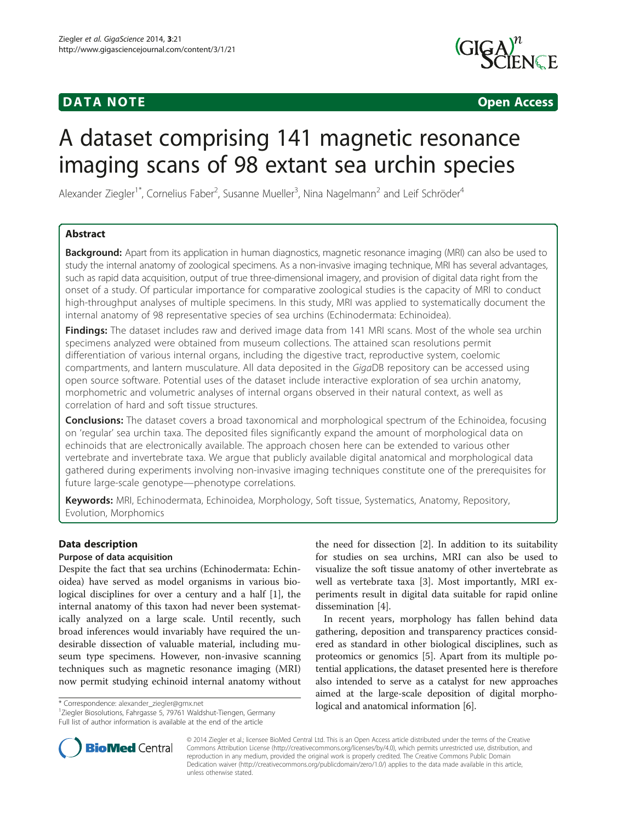# **DATA NOTE CONSERVATION CONSERVATION**



# A dataset comprising 141 magnetic resonance imaging scans of 98 extant sea urchin species

Alexander Ziegler<sup>1\*</sup>, Cornelius Faber<sup>2</sup>, Susanne Mueller<sup>3</sup>, Nina Nagelmann<sup>2</sup> and Leif Schröder<sup>4</sup>

# Abstract

Background: Apart from its application in human diagnostics, magnetic resonance imaging (MRI) can also be used to study the internal anatomy of zoological specimens. As a non-invasive imaging technique, MRI has several advantages, such as rapid data acquisition, output of true three-dimensional imagery, and provision of digital data right from the onset of a study. Of particular importance for comparative zoological studies is the capacity of MRI to conduct high-throughput analyses of multiple specimens. In this study, MRI was applied to systematically document the internal anatomy of 98 representative species of sea urchins (Echinodermata: Echinoidea).

Findings: The dataset includes raw and derived image data from 141 MRI scans. Most of the whole sea urchin specimens analyzed were obtained from museum collections. The attained scan resolutions permit differentiation of various internal organs, including the digestive tract, reproductive system, coelomic compartments, and lantern musculature. All data deposited in the GigaDB repository can be accessed using open source software. Potential uses of the dataset include interactive exploration of sea urchin anatomy, morphometric and volumetric analyses of internal organs observed in their natural context, as well as correlation of hard and soft tissue structures.

**Conclusions:** The dataset covers a broad taxonomical and morphological spectrum of the Echinoidea, focusing on 'regular' sea urchin taxa. The deposited files significantly expand the amount of morphological data on echinoids that are electronically available. The approach chosen here can be extended to various other vertebrate and invertebrate taxa. We argue that publicly available digital anatomical and morphological data gathered during experiments involving non-invasive imaging techniques constitute one of the prerequisites for future large-scale genotype—phenotype correlations.

Keywords: MRI, Echinodermata, Echinoidea, Morphology, Soft tissue, Systematics, Anatomy, Repository, Evolution, Morphomics

# Data description

# Purpose of data acquisition

Despite the fact that sea urchins (Echinodermata: Echinoidea) have served as model organisms in various biological disciplines for over a century and a half [\[1](#page-2-0)], the internal anatomy of this taxon had never been systematically analyzed on a large scale. Until recently, such broad inferences would invariably have required the undesirable dissection of valuable material, including museum type specimens. However, non-invasive scanning techniques such as magnetic resonance imaging (MRI) now permit studying echinoid internal anatomy without

<sup>1</sup>Ziegler Biosolutions, Fahrgasse 5, 79761 Waldshut-Tiengen, Germany Full list of author information is available at the end of the article

the need for dissection [\[2](#page-2-0)]. In addition to its suitability for studies on sea urchins, MRI can also be used to visualize the soft tissue anatomy of other invertebrate as well as vertebrate taxa [\[3](#page-3-0)]. Most importantly, MRI experiments result in digital data suitable for rapid online dissemination [\[4](#page-3-0)].

In recent years, morphology has fallen behind data gathering, deposition and transparency practices considered as standard in other biological disciplines, such as proteomics or genomics [[5](#page-3-0)]. Apart from its multiple potential applications, the dataset presented here is therefore also intended to serve as a catalyst for new approaches aimed at the large-scale deposition of digital morpho-\* Correspondence: alexander\_ziegler@gmx.net logical and anatomical information [\[6\]](#page-3-0).



© 2014 Ziegler et al.; licensee BioMed Central Ltd. This is an Open Access article distributed under the terms of the Creative Commons Attribution License [\(http://creativecommons.org/licenses/by/4.0\)](http://creativecommons.org/licenses/by/4.0), which permits unrestricted use, distribution, and reproduction in any medium, provided the original work is properly credited. The Creative Commons Public Domain Dedication waiver [\(http://creativecommons.org/publicdomain/zero/1.0/](http://creativecommons.org/publicdomain/zero/1.0/)) applies to the data made available in this article, unless otherwise stated.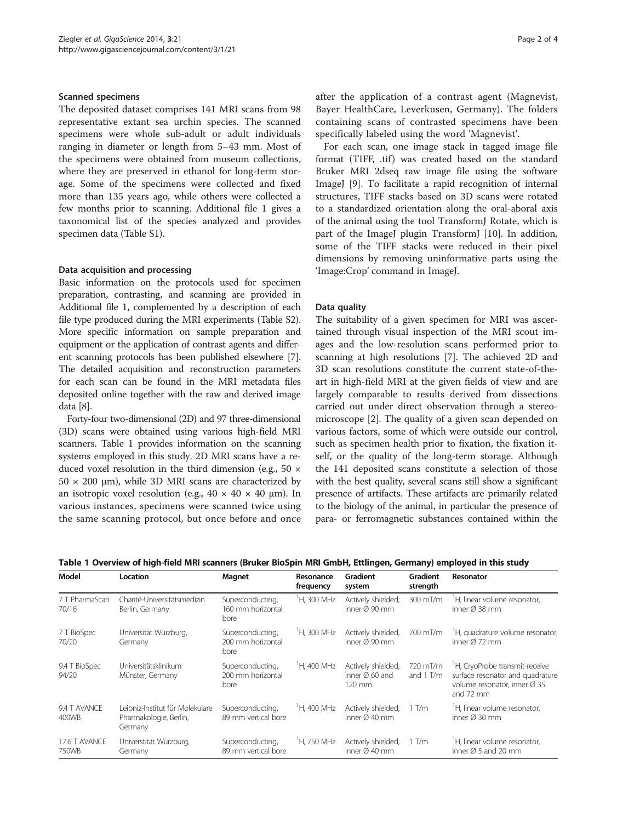#### Scanned specimens

The deposited dataset comprises 141 MRI scans from 98 representative extant sea urchin species. The scanned specimens were whole sub-adult or adult individuals ranging in diameter or length from 5–43 mm. Most of the specimens were obtained from museum collections, where they are preserved in ethanol for long-term storage. Some of the specimens were collected and fixed more than 135 years ago, while others were collected a few months prior to scanning. Additional file [1](#page-2-0) gives a taxonomical list of the species analyzed and provides specimen data (Table S1).

#### Data acquisition and processing

Basic information on the protocols used for specimen preparation, contrasting, and scanning are provided in Additional file [1,](#page-2-0) complemented by a description of each file type produced during the MRI experiments (Table S2). More specific information on sample preparation and equipment or the application of contrast agents and different scanning protocols has been published elsewhere [[7](#page-3-0)]. The detailed acquisition and reconstruction parameters for each scan can be found in the MRI metadata files deposited online together with the raw and derived image data [\[8\]](#page-3-0).

Forty-four two-dimensional (2D) and 97 three-dimensional (3D) scans were obtained using various high-field MRI scanners. Table 1 provides information on the scanning systems employed in this study. 2D MRI scans have a reduced voxel resolution in the third dimension (e.g., 50 ×  $50 \times 200$  μm), while 3D MRI scans are characterized by an isotropic voxel resolution (e.g.,  $40 \times 40 \times 40$  µm). In various instances, specimens were scanned twice using the same scanning protocol, but once before and once after the application of a contrast agent (Magnevist, Bayer HealthCare, Leverkusen, Germany). The folders containing scans of contrasted specimens have been specifically labeled using the word 'Magnevist'.

For each scan, one image stack in tagged image file format (TIFF, .tif) was created based on the standard Bruker MRI 2dseq raw image file using the software ImageJ [\[9](#page-3-0)]. To facilitate a rapid recognition of internal structures, TIFF stacks based on 3D scans were rotated to a standardized orientation along the oral-aboral axis of the animal using the tool TransformJ Rotate, which is part of the ImageJ plugin TransformJ [[10](#page-3-0)]. In addition, some of the TIFF stacks were reduced in their pixel dimensions by removing uninformative parts using the 'Image:Crop' command in ImageJ.

# Data quality

The suitability of a given specimen for MRI was ascertained through visual inspection of the MRI scout images and the low-resolution scans performed prior to scanning at high resolutions [\[7\]](#page-3-0). The achieved 2D and 3D scan resolutions constitute the current state-of-theart in high-field MRI at the given fields of view and are largely comparable to results derived from dissections carried out under direct observation through a stereomicroscope [[2\]](#page-2-0). The quality of a given scan depended on various factors, some of which were outside our control, such as specimen health prior to fixation, the fixation itself, or the quality of the long-term storage. Although the 141 deposited scans constitute a selection of those with the best quality, several scans still show a significant presence of artifacts. These artifacts are primarily related to the biology of the animal, in particular the presence of para- or ferromagnetic substances contained within the

| Model                   | Location                                                               | Magnet                                        | Resonance<br>frequency  | Gradient<br>system                                         | Gradient<br>strength  | Resonator                                                                                                                             |
|-------------------------|------------------------------------------------------------------------|-----------------------------------------------|-------------------------|------------------------------------------------------------|-----------------------|---------------------------------------------------------------------------------------------------------------------------------------|
| 7 T PharmaScan<br>70/16 | Charité-Universitätsmedizin<br>Berlin, Germany                         | Superconducting,<br>160 mm horizontal<br>bore | <sup>1</sup> H. 300 MHz | Actively shielded,<br>inner $\varnothing$ 90 mm            | 300 mT/m              | <sup>1</sup> H, linear volume resonator,<br>inner $\varnothing$ 38 mm                                                                 |
| 7 T BioSpec<br>70/20    | Universität Würzburg,<br>Germany                                       | Superconducting,<br>200 mm horizontal<br>bore | <sup>1</sup> H, 300 MHz | Actively shielded,<br>inner $\varnothing$ 90 mm            | 700 mT/m              | 'H, quadrature volume resonator,<br>inner $\varnothing$ 72 mm                                                                         |
| 9.4 T BioSpec<br>94/20  | Universitätsklinikum<br>Münster, Germany                               | Superconducting,<br>200 mm horizontal<br>bore | $\mathrm{H}$ , 400 MHz  | Actively shielded,<br>inner $\varnothing$ 60 and<br>120 mm | 720 mT/m<br>and 1 T/m | <sup>1</sup> H, CryoProbe transmit-receive<br>surface resonator and quadrature<br>volume resonator, inner Ø 35<br>and $72 \text{ mm}$ |
| 9.4 T AVANCE<br>400WB   | l eibniz-Institut für Molekulare.<br>Pharmakologie, Berlin,<br>Germany | Superconducting,<br>89 mm vertical bore       | <sup>1</sup> H, 400 MHz | Actively shielded,<br>inner $\varnothing$ 40 mm            | $1$ T/m               | <sup>1</sup> H, linear volume resonator,<br>inner $\varnothing$ 30 mm                                                                 |
| 17.6 T AVANCE<br>750WB  | Universtität Würzburg,<br>Germany                                      | Superconducting,<br>89 mm vertical bore       | <sup>1</sup> H. 750 MHz | Actively shielded,<br>inner $\varnothing$ 40 mm            | $1$ T/m               | 'H, linear volume resonator,<br>inner $\varnothing$ 5 and 20 mm                                                                       |

Table 1 Overview of high-field MRI scanners (Bruker BioSpin MRI GmbH, Ettlingen, Germany) employed in this study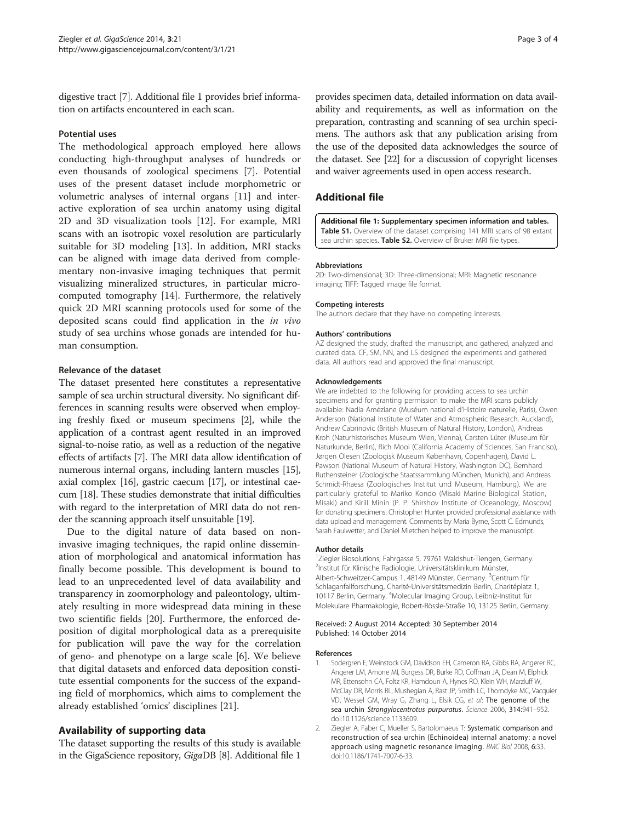<span id="page-2-0"></span>digestive tract [\[7](#page-3-0)]. Additional file 1 provides brief information on artifacts encountered in each scan.

#### Potential uses

The methodological approach employed here allows conducting high-throughput analyses of hundreds or even thousands of zoological specimens [[7](#page-3-0)]. Potential uses of the present dataset include morphometric or volumetric analyses of internal organs [[11](#page-3-0)] and interactive exploration of sea urchin anatomy using digital 2D and 3D visualization tools [\[12\]](#page-3-0). For example, MRI scans with an isotropic voxel resolution are particularly suitable for 3D modeling [\[13](#page-3-0)]. In addition, MRI stacks can be aligned with image data derived from complementary non-invasive imaging techniques that permit visualizing mineralized structures, in particular microcomputed tomography [[14\]](#page-3-0). Furthermore, the relatively quick 2D MRI scanning protocols used for some of the deposited scans could find application in the in vivo study of sea urchins whose gonads are intended for human consumption.

#### Relevance of the dataset

The dataset presented here constitutes a representative sample of sea urchin structural diversity. No significant differences in scanning results were observed when employing freshly fixed or museum specimens [2], while the application of a contrast agent resulted in an improved signal-to-noise ratio, as well as a reduction of the negative effects of artifacts [\[7](#page-3-0)]. The MRI data allow identification of numerous internal organs, including lantern muscles [[15](#page-3-0)], axial complex [\[16](#page-3-0)], gastric caecum [\[17](#page-3-0)], or intestinal caecum [\[18\]](#page-3-0). These studies demonstrate that initial difficulties with regard to the interpretation of MRI data do not render the scanning approach itself unsuitable [\[19\]](#page-3-0).

Due to the digital nature of data based on noninvasive imaging techniques, the rapid online dissemination of morphological and anatomical information has finally become possible. This development is bound to lead to an unprecedented level of data availability and transparency in zoomorphology and paleontology, ultimately resulting in more widespread data mining in these two scientific fields [\[20\]](#page-3-0). Furthermore, the enforced deposition of digital morphological data as a prerequisite for publication will pave the way for the correlation of geno- and phenotype on a large scale [[6\]](#page-3-0). We believe that digital datasets and enforced data deposition constitute essential components for the success of the expanding field of morphomics, which aims to complement the already established 'omics' disciplines [[21\]](#page-3-0).

# Availability of supporting data

The dataset supporting the results of this study is available in the GigaScience repository, GigaDB [\[8\]](#page-3-0). Additional file 1 provides specimen data, detailed information on data availability and requirements, as well as information on the preparation, contrasting and scanning of sea urchin specimens. The authors ask that any publication arising from the use of the deposited data acknowledges the source of the dataset. See [[22](#page-3-0)] for a discussion of copyright licenses and waiver agreements used in open access research.

# Additional file

[Additional file 1:](http://www.biomedcentral.com/content/supplementary/2047-217X-3-21-S1.pdf) Supplementary specimen information and tables. Table S1. Overview of the dataset comprising 141 MRI scans of 98 extant sea urchin species. Table S2. Overview of Bruker MRI file types.

#### Abbreviations

2D: Two-dimensional; 3D: Three-dimensional; MRI: Magnetic resonance imaging; TIFF: Tagged image file format.

#### Competing interests

The authors declare that they have no competing interests.

#### Authors' contributions

AZ designed the study, drafted the manuscript, and gathered, analyzed and curated data. CF, SM, NN, and LS designed the experiments and gathered data. All authors read and approved the final manuscript.

#### Acknowledgements

We are indebted to the following for providing access to sea urchin specimens and for granting permission to make the MRI scans publicly available: Nadia Améziane (Muséum national d'Histoire naturelle, Paris), Owen Anderson (National Institute of Water and Atmospheric Research, Auckland), Andrew Cabrinovic (British Museum of Natural History, London), Andreas Kroh (Naturhistorisches Museum Wien, Vienna), Carsten Lüter (Museum für Naturkunde, Berlin), Rich Mooi (California Academy of Sciences, San Franciso), Jørgen Olesen (Zoologisk Museum København, Copenhagen), David L. Pawson (National Museum of Natural History, Washington DC), Bernhard Ruthensteiner (Zoologische Staatssammlung München, Munich), and Andreas Schmidt-Rhaesa (Zoologisches Institut und Museum, Hamburg). We are particularly grateful to Mariko Kondo (Misaki Marine Biological Station, Misaki) and Kirill Minin (P. P. Shirshov Institute of Oceanology, Moscow) for donating specimens. Christopher Hunter provided professional assistance with data upload and management. Comments by Maria Byrne, Scott C. Edmunds, Sarah Faulwetter, and Daniel Mietchen helped to improve the manuscript.

#### Author details

<sup>1</sup>Ziegler Biosolutions, Fahrgasse 5, 79761 Waldshut-Tiengen, Germany. 2 Institut für Klinische Radiologie, Universitätsklinikum Münster, Albert-Schweitzer-Campus 1, 48149 Münster, Germany. <sup>3</sup>Centrum für Schlaganfallforschung, Charité-Universitätsmedizin Berlin, Charitéplatz 1, 10117 Berlin, Germany. <sup>4</sup>Molecular Imaging Group, Leibniz-Institut für Molekulare Pharmakologie, Robert-Rössle-Straße 10, 13125 Berlin, Germany.

#### Received: 2 August 2014 Accepted: 30 September 2014 Published: 14 October 2014

#### References

- 1. Sodergren E, Weinstock GM, Davidson EH, Cameron RA, Gibbs RA, Angerer RC, Angerer LM, Arnone MI, Burgess DR, Burke RD, Coffman JA, Dean M, Elphick MR, Ettensohn CA, Foltz KR, Hamdoun A, Hynes RO, Klein WH, Marzluff W, McClay DR, Morris RL, Mushegian A, Rast JP, Smith LC, Thorndyke MC, Vacquier VD, Wessel GM, Wray G, Zhang L, Elsik CG, et al: The genome of the sea urchin Strongylocentrotus purpuratus. Science 2006, 314:941–952. doi:10.1126/science.1133609.
- 2. Ziegler A, Faber C, Mueller S, Bartolomaeus T: Systematic comparison and reconstruction of sea urchin (Echinoidea) internal anatomy: a novel approach using magnetic resonance imaging. BMC Biol 2008, 6:33. doi:10.1186/1741-7007-6-33.